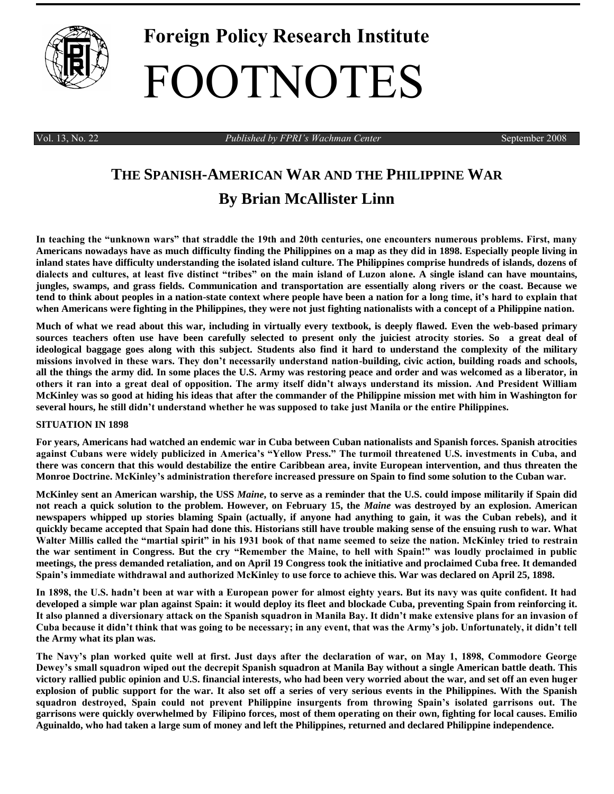

# **Foreign Policy Research Institute** FOOTNOTES

Vol. 13, No. 22 *Published by FPRI's Wachman Center* September 2008

# **THE SPANISH-AMERICAN WAR AND THE PHILIPPINE WAR By [Brian McAllister Linn](http://www.tamu.edu/history/faculty/linn.htm)**

**In teaching the "unknown wars" that straddle the 19th and 20th centuries, one encounters numerous problems. First, many Americans nowadays have as much difficulty finding the Philippines on a map as they did in 1898. Especially people living in inland states have difficulty understanding the isolated island culture. The Philippines comprise hundreds of islands, dozens of dialects and cultures, at least five distinct "tribes" on the main island of Luzon alone. A single island can have mountains, jungles, swamps, and grass fields. Communication and transportation are essentially along rivers or the coast. Because we tend to think about peoples in a nation-state context where people have been a nation for a long time, it's hard to explain that when Americans were fighting in the Philippines, they were not just fighting nationalists with a concept of a Philippine nation.**

**Much of what we read about this war, including in virtually every textbook, is deeply flawed. Even the web-based primary sources teachers often use have been carefully selected to present only the juiciest atrocity stories. So a great deal of ideological baggage goes along with this subject. Students also find it hard to understand the complexity of the military missions involved in these wars. They don't necessarily understand nation-building, civic action, building roads and schools, all the things the army did. In some places the U.S. Army was restoring peace and order and was welcomed as a liberator, in others it ran into a great deal of opposition. The army itself didn't always understand its mission. And President William McKinley was so good at hiding his ideas that after the commander of the Philippine mission met with him in Washington for several hours, he still didn't understand whether he was supposed to take just Manila or the entire Philippines.** 

## **SITUATION IN 1898**

**For years, Americans had watched an endemic war in Cuba between Cuban nationalists and Spanish forces. Spanish atrocities against Cubans were widely publicized in America's "Yellow Press." The turmoil threatened U.S. investments in Cuba, and there was concern that this would destabilize the entire Caribbean area, invite European intervention, and thus threaten the Monroe Doctrine. McKinley's administration therefore increased pressure on Spain to find some solution to the Cuban war.**

**McKinley sent an American warship, the USS** *Maine***, to serve as a reminder that the U.S. could impose militarily if Spain did not reach a quick solution to the problem. However, on February 15, the** *Maine* **was destroyed by an explosion. American newspapers whipped up stories blaming Spain (actually, if anyone had anything to gain, it was the Cuban rebels), and it quickly became accepted that Spain had done this. Historians still have trouble making sense of the ensuing rush to war. What Walter Millis called the "martial spirit" in his 1931 book of that name seemed to seize the nation. McKinley tried to restrain the war sentiment in Congress. But the cry "Remember the Maine, to hell with Spain!" was loudly proclaimed in public meetings, the press demanded retaliation, and on April 19 Congress took the initiative and proclaimed Cuba free. It demanded Spain's immediate withdrawal and authorized McKinley to use force to achieve this. War was declared on April 25, 1898.**

**In 1898, the U.S. hadn't been at war with a European power for almost eighty years. But its navy was quite confident. It had developed a simple war plan against Spain: it would deploy its fleet and blockade Cuba, preventing Spain from reinforcing it. It also planned a diversionary attack on the Spanish squadron in Manila Bay. It didn't make extensive plans for an invasion of Cuba because it didn't think that was going to be necessary; in any event, that was the Army's job. Unfortunately, it didn't tell the Army what its plan was.** 

**The Navy's plan worked quite well at first. Just days after the declaration of war, on May 1, 1898, Commodore George Dewey's small squadron wiped out the decrepit Spanish squadron at Manila Bay without a single American battle death. This victory rallied public opinion and U.S. financial interests, who had been very worried about the war, and set off an even huger explosion of public support for the war. It also set off a series of very serious events in the Philippines. With the Spanish squadron destroyed, Spain could not prevent Philippine insurgents from throwing Spain's isolated garrisons out. The garrisons were quickly overwhelmed by Filipino forces, most of them operating on their own, fighting for local causes. Emilio Aguinaldo, who had taken a large sum of money and left the Philippines, returned and declared Philippine independence.**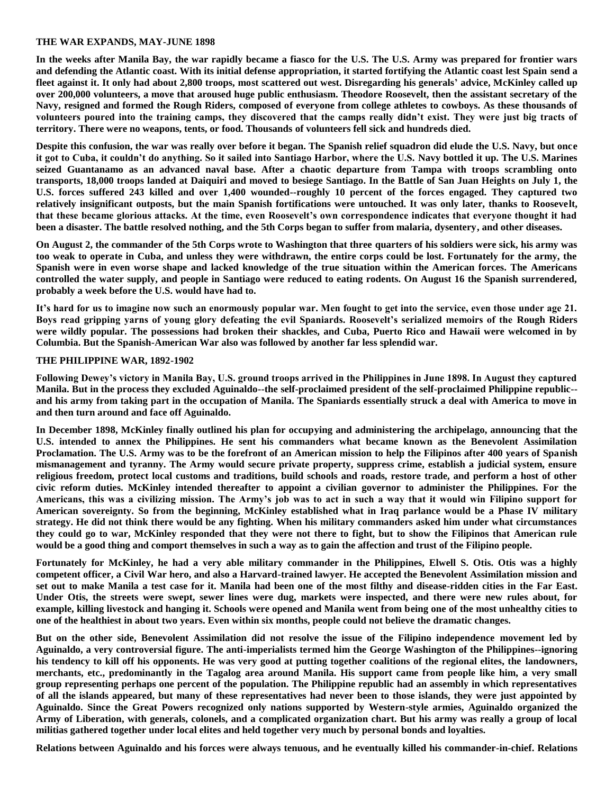### **THE WAR EXPANDS, MAY-JUNE 1898**

**In the weeks after Manila Bay, the war rapidly became a fiasco for the U.S. The U.S. Army was prepared for frontier wars and defending the Atlantic coast. With its initial defense appropriation, it started fortifying the Atlantic coast lest Spain send a fleet against it. It only had about 2,800 troops, most scattered out west. Disregarding his generals' advice, McKinley called up over 200,000 volunteers, a move that aroused huge public enthusiasm. Theodore Roosevelt, then the assistant secretary of the Navy, resigned and formed the Rough Riders, composed of everyone from college athletes to cowboys. As these thousands of volunteers poured into the training camps, they discovered that the camps really didn't exist. They were just big tracts of territory. There were no weapons, tents, or food. Thousands of volunteers fell sick and hundreds died.** 

**Despite this confusion, the war was really over before it began. The Spanish relief squadron did elude the U.S. Navy, but once it got to Cuba, it couldn't do anything. So it sailed into Santiago Harbor, where the U.S. Navy bottled it up. The U.S. Marines seized Guantanamo as an advanced naval base. After a chaotic departure from Tampa with troops scrambling onto transports, 18,000 troops landed at Daiquiri and moved to besiege Santiago. In the Battle of San Juan Heights on July 1, the U.S. forces suffered 243 killed and over 1,400 wounded--roughly 10 percent of the forces engaged. They captured two relatively insignificant outposts, but the main Spanish fortifications were untouched. It was only later, thanks to Roosevelt, that these became glorious attacks. At the time, even Roosevelt's own correspondence indicates that everyone thought it had been a disaster. The battle resolved nothing, and the 5th Corps began to suffer from malaria, dysentery, and other diseases.**

**On August 2, the commander of the 5th Corps wrote to Washington that three quarters of his soldiers were sick, his army was too weak to operate in Cuba, and unless they were withdrawn, the entire corps could be lost. Fortunately for the army, the Spanish were in even worse shape and lacked knowledge of the true situation within the American forces. The Americans controlled the water supply, and people in Santiago were reduced to eating rodents. On August 16 the Spanish surrendered, probably a week before the U.S. would have had to.**

**It's hard for us to imagine now such an enormously popular war. Men fought to get into the service, even those under age 21. Boys read gripping yarns of young glory defeating the evil Spaniards. Roosevelt's serialized memoirs of the Rough Riders were wildly popular. The possessions had broken their shackles, and Cuba, Puerto Rico and Hawaii were welcomed in by Columbia. But the Spanish-American War also was followed by another far less splendid war.**

#### **THE PHILIPPINE WAR, 1892-1902**

**Following Dewey's victory in Manila Bay, U.S. ground troops arrived in the Philippines in June 1898. In August they captured Manila. But in the process they excluded Aguinaldo--the self-proclaimed president of the self-proclaimed Philippine republic- and his army from taking part in the occupation of Manila. The Spaniards essentially struck a deal with America to move in and then turn around and face off Aguinaldo.** 

**In December 1898, McKinley finally outlined his plan for occupying and administering the archipelago, announcing that the U.S. intended to annex the Philippines. He sent his commanders what became known as the Benevolent Assimilation Proclamation. The U.S. Army was to be the forefront of an American mission to help the Filipinos after 400 years of Spanish mismanagement and tyranny. The Army would secure private property, suppress crime, establish a judicial system, ensure religious freedom, protect local customs and traditions, build schools and roads, restore trade, and perform a host of other civic reform duties. McKinley intended thereafter to appoint a civilian governor to administer the Philippines. For the Americans, this was a civilizing mission. The Army's job was to act in such a way that it would win Filipino support for American sovereignty. So from the beginning, McKinley established what in Iraq parlance would be a Phase IV military strategy. He did not think there would be any fighting. When his military commanders asked him under what circumstances they could go to war, McKinley responded that they were not there to fight, but to show the Filipinos that American rule would be a good thing and comport themselves in such a way as to gain the affection and trust of the Filipino people.**

**Fortunately for McKinley, he had a very able military commander in the Philippines, Elwell S. Otis. Otis was a highly competent officer, a Civil War hero, and also a Harvard-trained lawyer. He accepted the Benevolent Assimilation mission and set out to make Manila a test case for it. Manila had been one of the most filthy and disease-ridden cities in the Far East. Under Otis, the streets were swept, sewer lines were dug, markets were inspected, and there were new rules about, for example, killing livestock and hanging it. Schools were opened and Manila went from being one of the most unhealthy cities to one of the healthiest in about two years. Even within six months, people could not believe the dramatic changes.**

**But on the other side, Benevolent Assimilation did not resolve the issue of the Filipino independence movement led by Aguinaldo, a very controversial figure. The anti-imperialists termed him the George Washington of the Philippines--ignoring his tendency to kill off his opponents. He was very good at putting together coalitions of the regional elites, the landowners, merchants, etc., predominantly in the Tagalog area around Manila. His support came from people like him, a very small group representing perhaps one percent of the population. The Philippine republic had an assembly in which representatives of all the islands appeared, but many of these representatives had never been to those islands, they were just appointed by Aguinaldo. Since the Great Powers recognized only nations supported by Western-style armies, Aguinaldo organized the Army of Liberation, with generals, colonels, and a complicated organization chart. But his army was really a group of local militias gathered together under local elites and held together very much by personal bonds and loyalties.** 

**Relations between Aguinaldo and his forces were always tenuous, and he eventually killed his commander-in-chief. Relations**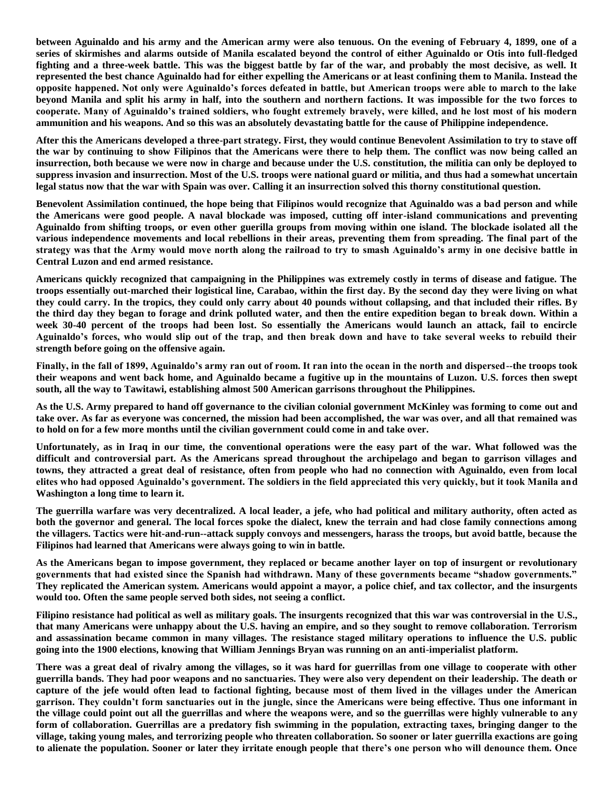**between Aguinaldo and his army and the American army were also tenuous. On the evening of February 4, 1899, one of a series of skirmishes and alarms outside of Manila escalated beyond the control of either Aguinaldo or Otis into full-fledged fighting and a three-week battle. This was the biggest battle by far of the war, and probably the most decisive, as well. It represented the best chance Aguinaldo had for either expelling the Americans or at least confining them to Manila. Instead the opposite happened. Not only were Aguinaldo's forces defeated in battle, but American troops were able to march to the lake beyond Manila and split his army in half, into the southern and northern factions. It was impossible for the two forces to cooperate. Many of Aguinaldo's trained soldiers, who fought extremely bravely, were killed, and he lost most of his modern ammunition and his weapons. And so this was an absolutely devastating battle for the cause of Philippine independence.** 

**After this the Americans developed a three-part strategy. First, they would continue Benevolent Assimilation to try to stave off the war by continuing to show Filipinos that the Americans were there to help them. The conflict was now being called an insurrection, both because we were now in charge and because under the U.S. constitution, the militia can only be deployed to suppress invasion and insurrection. Most of the U.S. troops were national guard or militia, and thus had a somewhat uncertain legal status now that the war with Spain was over. Calling it an insurrection solved this thorny constitutional question.**

**Benevolent Assimilation continued, the hope being that Filipinos would recognize that Aguinaldo was a bad person and while the Americans were good people. A naval blockade was imposed, cutting off inter-island communications and preventing Aguinaldo from shifting troops, or even other guerilla groups from moving within one island. The blockade isolated all the various independence movements and local rebellions in their areas, preventing them from spreading. The final part of the strategy was that the Army would move north along the railroad to try to smash Aguinaldo's army in one decisive battle in Central Luzon and end armed resistance.**

**Americans quickly recognized that campaigning in the Philippines was extremely costly in terms of disease and fatigue. The troops essentially out-marched their logistical line, Carabao, within the first day. By the second day they were living on what they could carry. In the tropics, they could only carry about 40 pounds without collapsing, and that included their rifles. By the third day they began to forage and drink polluted water, and then the entire expedition began to break down. Within a week 30-40 percent of the troops had been lost. So essentially the Americans would launch an attack, fail to encircle Aguinaldo's forces, who would slip out of the trap, and then break down and have to take several weeks to rebuild their strength before going on the offensive again.**

**Finally, in the fall of 1899, Aguinaldo's army ran out of room. It ran into the ocean in the north and dispersed--the troops took their weapons and went back home, and Aguinaldo became a fugitive up in the mountains of Luzon. U.S. forces then swept south, all the way to Tawitawi, establishing almost 500 American garrisons throughout the Philippines.**

**As the U.S. Army prepared to hand off governance to the civilian colonial government McKinley was forming to come out and take over. As far as everyone was concerned, the mission had been accomplished, the war was over, and all that remained was to hold on for a few more months until the civilian government could come in and take over.** 

**Unfortunately, as in Iraq in our time, the conventional operations were the easy part of the war. What followed was the difficult and controversial part. As the Americans spread throughout the archipelago and began to garrison villages and towns, they attracted a great deal of resistance, often from people who had no connection with Aguinaldo, even from local elites who had opposed Aguinaldo's government. The soldiers in the field appreciated this very quickly, but it took Manila and Washington a long time to learn it.**

**The guerrilla warfare was very decentralized. A local leader, a jefe, who had political and military authority, often acted as both the governor and general. The local forces spoke the dialect, knew the terrain and had close family connections among the villagers. Tactics were hit-and-run--attack supply convoys and messengers, harass the troops, but avoid battle, because the Filipinos had learned that Americans were always going to win in battle.** 

**As the Americans began to impose government, they replaced or became another layer on top of insurgent or revolutionary governments that had existed since the Spanish had withdrawn. Many of these governments became "shadow governments." They replicated the American system. Americans would appoint a mayor, a police chief, and tax collector, and the insurgents would too. Often the same people served both sides, not seeing a conflict.** 

**Filipino resistance had political as well as military goals. The insurgents recognized that this war was controversial in the U.S., that many Americans were unhappy about the U.S. having an empire, and so they sought to remove collaboration. Terrorism and assassination became common in many villages. The resistance staged military operations to influence the U.S. public going into the 1900 elections, knowing that William Jennings Bryan was running on an anti-imperialist platform.** 

**There was a great deal of rivalry among the villages, so it was hard for guerrillas from one village to cooperate with other guerrilla bands. They had poor weapons and no sanctuaries. They were also very dependent on their leadership. The death or capture of the jefe would often lead to factional fighting, because most of them lived in the villages under the American garrison. They couldn't form sanctuaries out in the jungle, since the Americans were being effective. Thus one informant in the village could point out all the guerrillas and where the weapons were, and so the guerrillas were highly vulnerable to any form of collaboration. Guerrillas are a predatory fish swimming in the population, extracting taxes, bringing danger to the village, taking young males, and terrorizing people who threaten collaboration. So sooner or later guerrilla exactions are going to alienate the population. Sooner or later they irritate enough people that there's one person who will denounce them. Once**